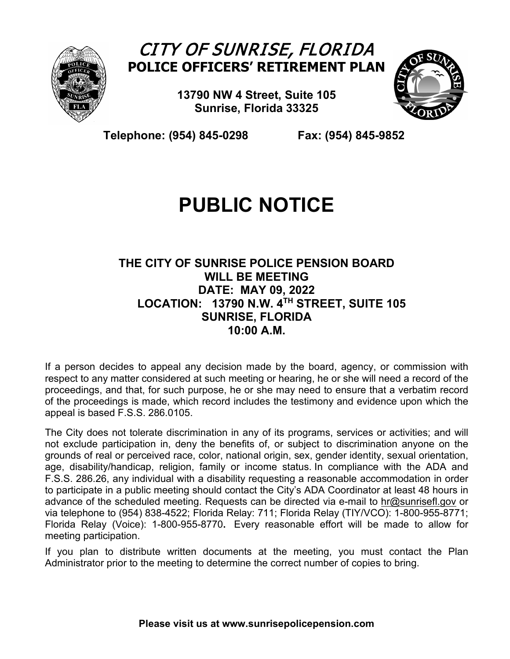

## CITY OF SUNRISE, FLORIDA **POLICE OFFICERS' RETIREMENT PLAN**

**13790 NW 4 Street, Suite 105 Sunrise, Florida 33325**



 **Telephone: (954) 845-0298 Fax: (954) 845-9852**

# **PUBLIC NOTICE**

### **THE CITY OF SUNRISE POLICE PENSION BOARD WILL BE MEETING DATE: MAY 09, 2022 LOCATION: 13790 N.W. 4TH STREET, SUITE 105 SUNRISE, FLORIDA 10:00 A.M.**

If a person decides to appeal any decision made by the board, agency, or commission with respect to any matter considered at such meeting or hearing, he or she will need a record of the proceedings, and that, for such purpose, he or she may need to ensure that a verbatim record of the proceedings is made, which record includes the testimony and evidence upon which the appeal is based F.S.S. 286.0105.

The City does not tolerate discrimination in any of its programs, services or activities; and will not exclude participation in, deny the benefits of, or subject to discrimination anyone on the grounds of real or perceived race, color, national origin, sex, gender identity, sexual orientation, age, disability/handicap, religion, family or income status. In compliance with the ADA and F.S.S. 286.26, any individual with a disability requesting a reasonable accommodation in order to participate in a public meeting should contact the City's ADA Coordinator at least 48 hours in advance of the scheduled meeting. Requests can be directed via e-mail to [hr@sunrisefl.gov](mailto:hr@sunrisefl.gov) or via telephone to (954) 838-4522; Florida Relay: 711; Florida Relay (TIY/VCO): 1-800-955-8771; Florida Relay (Voice): 1-800-955-8770**.** Every reasonable effort will be made to allow for meeting participation.

If you plan to distribute written documents at the meeting, you must contact the Plan Administrator prior to the meeting to determine the correct number of copies to bring.